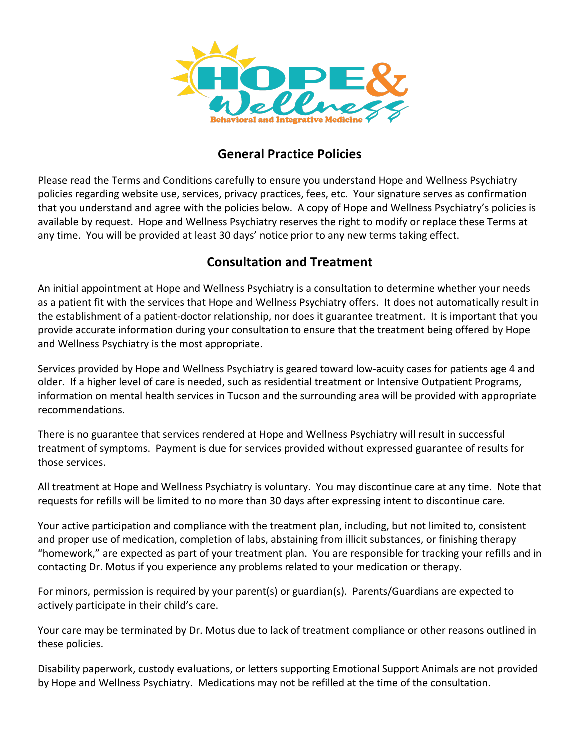

### **General Practice Policies**

Please read the Terms and Conditions carefully to ensure you understand Hope and Wellness Psychiatry policies regarding website use, services, privacy practices, fees, etc. Your signature serves as confirmation that you understand and agree with the policies below. A copy of Hope and Wellness Psychiatry's policies is available by request. Hope and Wellness Psychiatry reserves the right to modify or replace these Terms at any time. You will be provided at least 30 days' notice prior to any new terms taking effect.

## **Consultation and Treatment**

An initial appointment at Hope and Wellness Psychiatry is a consultation to determine whether your needs as a patient fit with the services that Hope and Wellness Psychiatry offers. It does not automatically result in the establishment of a patient-doctor relationship, nor does it guarantee treatment. It is important that you provide accurate information during your consultation to ensure that the treatment being offered by Hope and Wellness Psychiatry is the most appropriate.

Services provided by Hope and Wellness Psychiatry is geared toward low-acuity cases for patients age 4 and older. If a higher level of care is needed, such as residential treatment or Intensive Outpatient Programs, information on mental health services in Tucson and the surrounding area will be provided with appropriate recommendations.

There is no guarantee that services rendered at Hope and Wellness Psychiatry will result in successful treatment of symptoms. Payment is due for services provided without expressed guarantee of results for those services.

All treatment at Hope and Wellness Psychiatry is voluntary. You may discontinue care at any time. Note that requests for refills will be limited to no more than 30 days after expressing intent to discontinue care.

Your active participation and compliance with the treatment plan, including, but not limited to, consistent and proper use of medication, completion of labs, abstaining from illicit substances, or finishing therapy "homework," are expected as part of your treatment plan. You are responsible for tracking your refills and in contacting Dr. Motus if you experience any problems related to your medication or therapy.

For minors, permission is required by your parent(s) or guardian(s). Parents/Guardians are expected to actively participate in their child's care.

Your care may be terminated by Dr. Motus due to lack of treatment compliance or other reasons outlined in these policies.

Disability paperwork, custody evaluations, or letters supporting Emotional Support Animals are not provided by Hope and Wellness Psychiatry. Medications may not be refilled at the time of the consultation.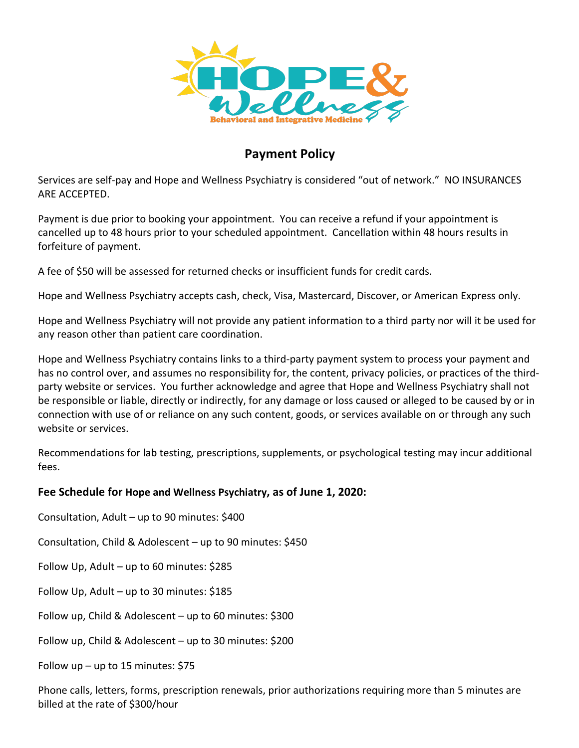

## **Payment Policy**

Services are self-pay and Hope and Wellness Psychiatry is considered "out of network." NO INSURANCES ARF ACCEPTED.

Payment is due prior to booking your appointment. You can receive a refund if your appointment is cancelled up to 48 hours prior to your scheduled appointment. Cancellation within 48 hours results in forfeiture of payment.

A fee of \$50 will be assessed for returned checks or insufficient funds for credit cards.

Hope and Wellness Psychiatry accepts cash, check, Visa, Mastercard, Discover, or American Express only.

Hope and Wellness Psychiatry will not provide any patient information to a third party nor will it be used for any reason other than patient care coordination.

Hope and Wellness Psychiatry contains links to a third-party payment system to process your payment and has no control over, and assumes no responsibility for, the content, privacy policies, or practices of the thirdparty website or services. You further acknowledge and agree that Hope and Wellness Psychiatry shall not be responsible or liable, directly or indirectly, for any damage or loss caused or alleged to be caused by or in connection with use of or reliance on any such content, goods, or services available on or through any such website or services.

Recommendations for lab testing, prescriptions, supplements, or psychological testing may incur additional fees.

#### **Fee Schedule for Hope and Wellness Psychiatry, as of June 1, 2020:**

Consultation, Adult - up to 90 minutes: \$400

Consultation, Child & Adolescent - up to 90 minutes: \$450

Follow Up, Adult  $-$  up to 60 minutes: \$285

Follow Up, Adult - up to 30 minutes: \$185

Follow up, Child & Adolescent  $-$  up to 60 minutes: \$300

Follow up, Child & Adolescent  $-$  up to 30 minutes: \$200

Follow up – up to 15 minutes:  $$75$ 

Phone calls, letters, forms, prescription renewals, prior authorizations requiring more than 5 minutes are billed at the rate of \$300/hour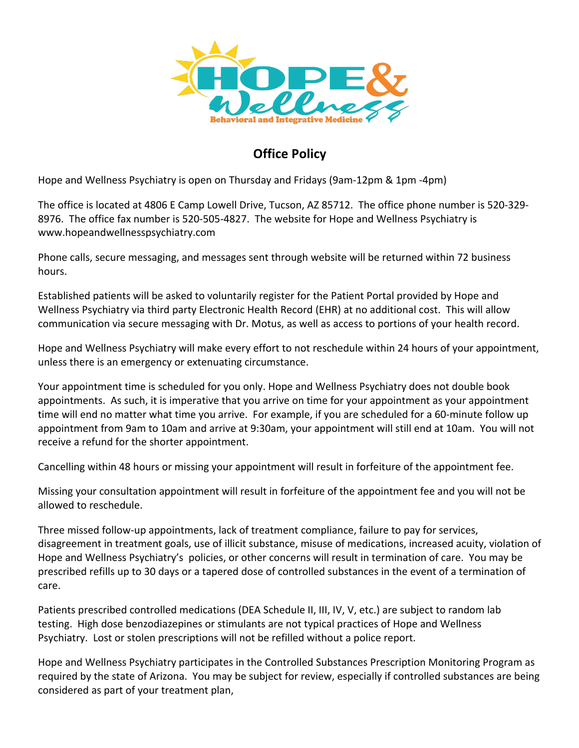

## **Office Policy**

Hope and Wellness Psychiatry is open on Thursday and Fridays (9am-12pm & 1pm -4pm)

The office is located at 4806 E Camp Lowell Drive, Tucson, AZ 85712. The office phone number is 520-329-8976. The office fax number is 520-505-4827. The website for Hope and Wellness Psychiatry is www.hopeandwellnesspsychiatry.com

Phone calls, secure messaging, and messages sent through website will be returned within 72 business hours.

Established patients will be asked to voluntarily register for the Patient Portal provided by Hope and Wellness Psychiatry via third party Electronic Health Record (EHR) at no additional cost. This will allow communication via secure messaging with Dr. Motus, as well as access to portions of your health record.

Hope and Wellness Psychiatry will make every effort to not reschedule within 24 hours of your appointment, unless there is an emergency or extenuating circumstance.

Your appointment time is scheduled for you only. Hope and Wellness Psychiatry does not double book appointments. As such, it is imperative that you arrive on time for your appointment as your appointment time will end no matter what time you arrive. For example, if you are scheduled for a 60-minute follow up appointment from 9am to 10am and arrive at 9:30am, your appointment will still end at 10am. You will not receive a refund for the shorter appointment.

Cancelling within 48 hours or missing your appointment will result in forfeiture of the appointment fee.

Missing your consultation appointment will result in forfeiture of the appointment fee and you will not be allowed to reschedule.

Three missed follow-up appointments, lack of treatment compliance, failure to pay for services, disagreement in treatment goals, use of illicit substance, misuse of medications, increased acuity, violation of Hope and Wellness Psychiatry's policies, or other concerns will result in termination of care. You may be prescribed refills up to 30 days or a tapered dose of controlled substances in the event of a termination of care.

Patients prescribed controlled medications (DEA Schedule II, III, IV, V, etc.) are subject to random lab testing. High dose benzodiazepines or stimulants are not typical practices of Hope and Wellness Psychiatry. Lost or stolen prescriptions will not be refilled without a police report.

Hope and Wellness Psychiatry participates in the Controlled Substances Prescription Monitoring Program as required by the state of Arizona. You may be subject for review, especially if controlled substances are being considered as part of your treatment plan,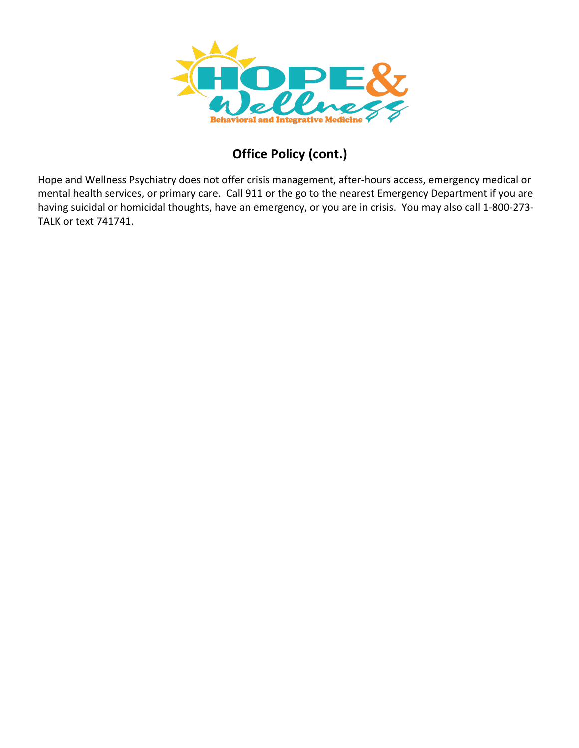

# **Office Policy (cont.)**

Hope and Wellness Psychiatry does not offer crisis management, after-hours access, emergency medical or mental health services, or primary care. Call 911 or the go to the nearest Emergency Department if you are having suicidal or homicidal thoughts, have an emergency, or you are in crisis. You may also call 1-800-273-TALK or text 741741.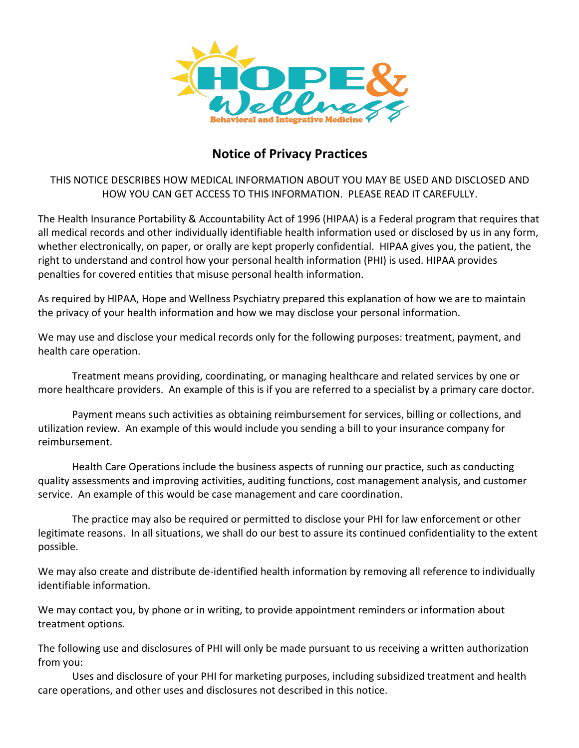

### **Notice of Privacy Practices**

THIS NOTICE DESCRIBES HOW MEDICAL INFORMATION ABOUT YOU MAY BE USED AND DISCLOSED AND HOW YOU CAN GET ACCESS TO THIS INFORMATION. PLEASE READ IT CAREFULLY.

The Health Insurance Portability & Accountability Act of 1996 (HIPAA) is a Federal program that requires that all medical records and other individually identifiable health information used or disclosed by us in any form, whether electronically, on paper, or orally are kept properly confidential. HIPAA gives you, the patient, the right to understand and control how your personal health information (PHI) is used. HIPAA provides penalties for covered entities that misuse personal health information.

As required by HIPAA, Hope and Wellness Psychiatry prepared this explanation of how we are to maintain the privacy of your health information and how we may disclose your personal information.

We may use and disclose your medical records only for the following purposes: treatment, payment, and health care operation.

Treatment means providing, coordinating, or managing healthcare and related services by one or more healthcare providers. An example of this is if you are referred to a specialist by a primary care doctor.

Payment means such activities as obtaining reimbursement for services, billing or collections, and utilization review. An example of this would include you sending a bill to your insurance company for reimbursement.

Health Care Operations include the business aspects of running our practice, such as conducting quality assessments and improving activities, auditing functions, cost management analysis, and customer service. An example of this would be case management and care coordination.

The practice may also be required or permitted to disclose your PHI for law enforcement or other legitimate reasons. In all situations, we shall do our best to assure its continued confidentiality to the extent possible.

We may also create and distribute de-identified health information by removing all reference to individually identifiable information.

We may contact you, by phone or in writing, to provide appointment reminders or information about treatment options.

The following use and disclosures of PHI will only be made pursuant to us receiving a written authorization from you:

Uses and disclosure of your PHI for marketing purposes, including subsidized treatment and health care operations, and other uses and disclosures not described in this notice.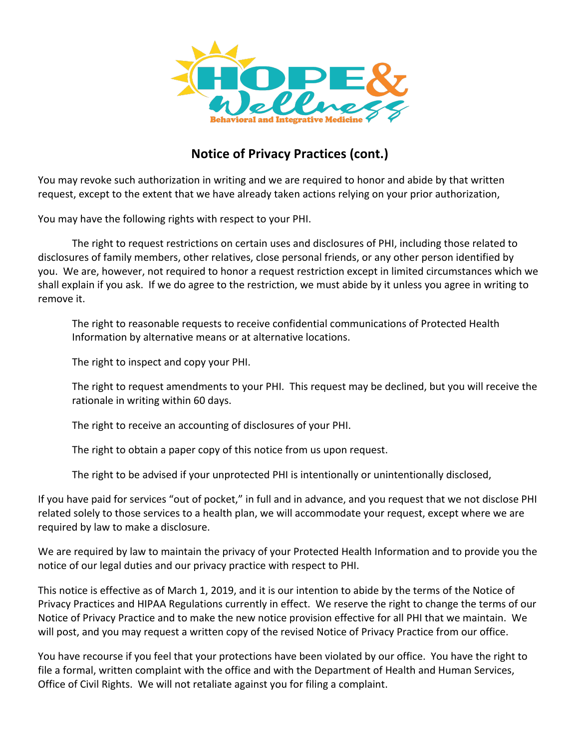

## **Notice of Privacy Practices (cont.)**

You may revoke such authorization in writing and we are required to honor and abide by that written request, except to the extent that we have already taken actions relying on your prior authorization,

You may have the following rights with respect to your PHI.

The right to request restrictions on certain uses and disclosures of PHI, including those related to disclosures of family members, other relatives, close personal friends, or any other person identified by you. We are, however, not required to honor a request restriction except in limited circumstances which we shall explain if you ask. If we do agree to the restriction, we must abide by it unless you agree in writing to remove it.

The right to reasonable requests to receive confidential communications of Protected Health Information by alternative means or at alternative locations.

The right to inspect and copy your PHI.

The right to request amendments to your PHI. This request may be declined, but you will receive the rationale in writing within 60 days.

The right to receive an accounting of disclosures of your PHI.

The right to obtain a paper copy of this notice from us upon request.

The right to be advised if your unprotected PHI is intentionally or unintentionally disclosed,

If you have paid for services "out of pocket," in full and in advance, and you request that we not disclose PHI related solely to those services to a health plan, we will accommodate your request, except where we are required by law to make a disclosure.

We are required by law to maintain the privacy of your Protected Health Information and to provide you the notice of our legal duties and our privacy practice with respect to PHI.

This notice is effective as of March 1, 2019, and it is our intention to abide by the terms of the Notice of Privacy Practices and HIPAA Regulations currently in effect. We reserve the right to change the terms of our Notice of Privacy Practice and to make the new notice provision effective for all PHI that we maintain. We will post, and you may request a written copy of the revised Notice of Privacy Practice from our office.

You have recourse if you feel that your protections have been violated by our office. You have the right to file a formal, written complaint with the office and with the Department of Health and Human Services, Office of Civil Rights. We will not retaliate against you for filing a complaint.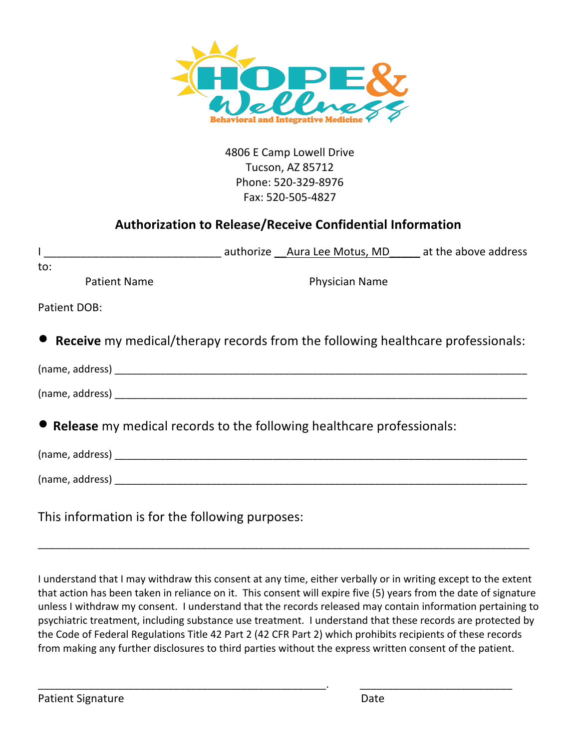

4806 E Camp Lowell Drive Tucson, AZ 85712 Phone: 520-329-8976 Fax: 520-505-4827

### **Authorization to Release/Receive Confidential Information**

| to:                                                                               |  |                       |  |
|-----------------------------------------------------------------------------------|--|-----------------------|--|
| <b>Patient Name</b>                                                               |  | <b>Physician Name</b> |  |
| Patient DOB:                                                                      |  |                       |  |
| • Receive my medical/therapy records from the following healthcare professionals: |  |                       |  |
|                                                                                   |  |                       |  |
|                                                                                   |  |                       |  |
| • Release my medical records to the following healthcare professionals:           |  |                       |  |
|                                                                                   |  |                       |  |
|                                                                                   |  |                       |  |
| This information is for the following purposes:                                   |  |                       |  |

I understand that I may withdraw this consent at any time, either verbally or in writing except to the extent that action has been taken in reliance on it. This consent will expire five (5) years from the date of signature unless I withdraw my consent. I understand that the records released may contain information pertaining to psychiatric treatment, including substance use treatment. I understand that these records are protected by the Code of Federal Regulations Title 42 Part 2 (42 CFR Part 2) which prohibits recipients of these records from making any further disclosures to third parties without the express written consent of the patient.

\_\_\_\_\_\_\_\_\_\_\_\_\_\_\_\_\_\_\_\_\_\_\_\_\_\_\_\_\_\_\_\_\_\_\_\_\_\_\_\_\_\_\_\_\_\_\_\_\_\_\_. \_\_\_\_\_\_\_\_\_\_\_\_\_\_\_\_\_\_\_\_\_\_\_\_\_\_\_

\_\_\_\_\_\_\_\_\_\_\_\_\_\_\_\_\_\_\_\_\_\_\_\_\_\_\_\_\_\_\_\_\_\_\_\_\_\_\_\_\_\_\_\_\_\_\_\_\_\_\_\_\_\_\_\_\_\_\_\_\_\_\_\_\_\_\_\_\_\_\_\_\_\_\_\_\_\_\_\_\_\_\_\_\_\_\_